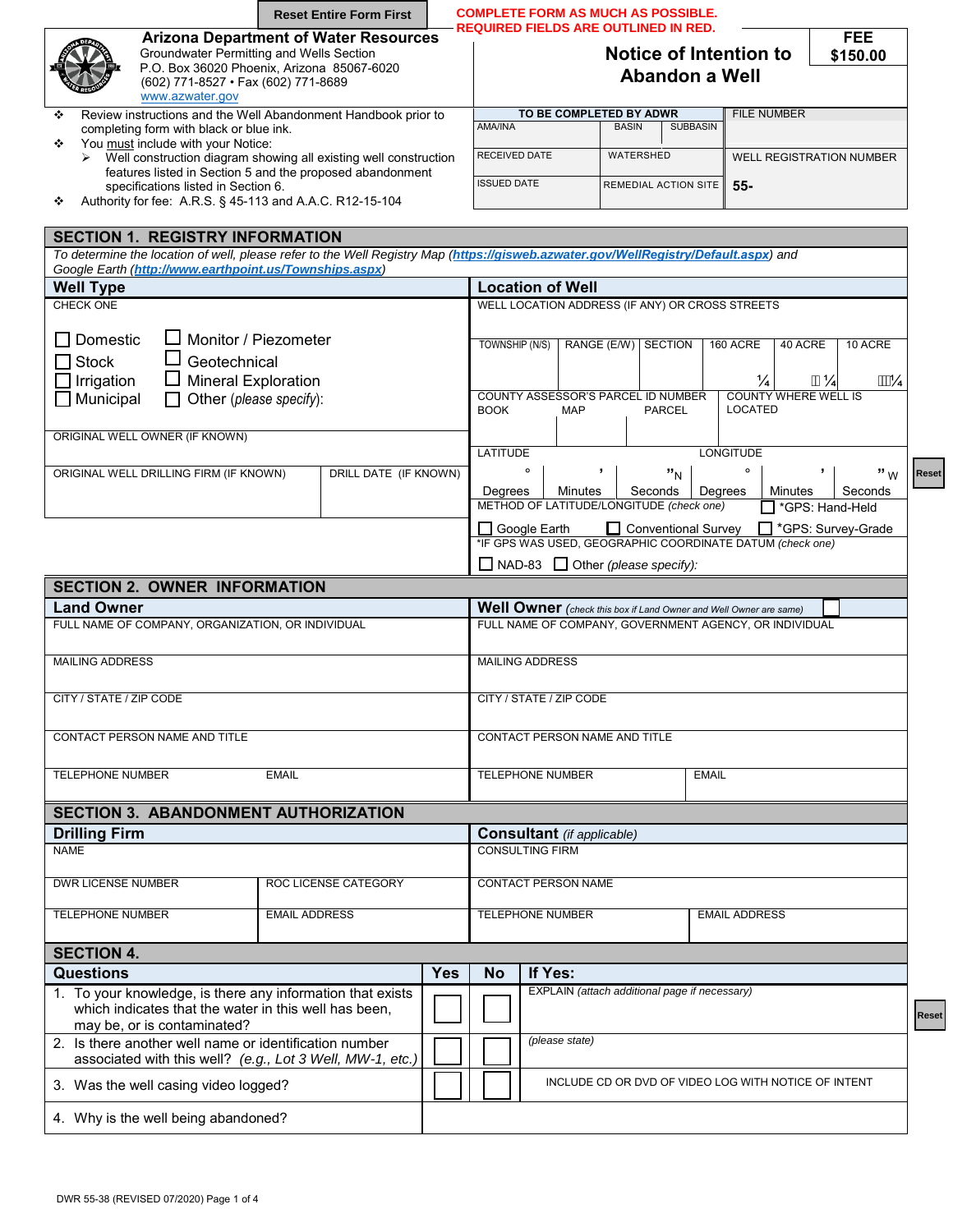|                                                                                                                                                                                               | <b>Reset Entire Form First</b>                                                                                                         |                                                                                                                    | <b>COMPLETE FORM AS MUCH AS POSSIBLE.</b>       |                             |                           |                            |                                 |  |  |  |  |
|-----------------------------------------------------------------------------------------------------------------------------------------------------------------------------------------------|----------------------------------------------------------------------------------------------------------------------------------------|--------------------------------------------------------------------------------------------------------------------|-------------------------------------------------|-----------------------------|---------------------------|----------------------------|---------------------------------|--|--|--|--|
| (602) 771-8527 • Fax (602) 771-8689<br>www.azwater.gov                                                                                                                                        | <b>Arizona Department of Water Resources</b><br>Groundwater Permitting and Wells Section<br>P.O. Box 36020 Phoenix, Arizona 85067-6020 | <b>REQUIRED FIELDS ARE OUTLINED IN RED.</b><br>FEE.<br>Notice of Intention to<br>\$150.00<br><b>Abandon a Well</b> |                                                 |                             |                           |                            |                                 |  |  |  |  |
| ❖                                                                                                                                                                                             | Review instructions and the Well Abandonment Handbook prior to                                                                         |                                                                                                                    | TO BE COMPLETED BY ADWR                         |                             |                           | <b>FILE NUMBER</b>         |                                 |  |  |  |  |
| completing form with black or blue ink.<br>You must include with your Notice:<br>❖                                                                                                            |                                                                                                                                        |                                                                                                                    | AMA/INA                                         | <b>BASIN</b>                | <b>SUBBASIN</b>           |                            |                                 |  |  |  |  |
| $\blacktriangleright$                                                                                                                                                                         | Well construction diagram showing all existing well construction<br>features listed in Section 5 and the proposed abandonment          |                                                                                                                    | <b>RECEIVED DATE</b>                            |                             | WATERSHED                 |                            | <b>WELL REGISTRATION NUMBER</b> |  |  |  |  |
| specifications listed in Section 6.<br>Authority for fee: A.R.S. § 45-113 and A.A.C. R12-15-104<br>❖                                                                                          |                                                                                                                                        | <b>ISSUED DATE</b>                                                                                                 |                                                 | <b>REMEDIAL ACTION SITE</b> | $55-$                     |                            |                                 |  |  |  |  |
| <b>SECTION 1. REGISTRY INFORMATION</b>                                                                                                                                                        |                                                                                                                                        |                                                                                                                    |                                                 |                             |                           |                            |                                 |  |  |  |  |
| To determine the location of well, please refer to the Well Registry Map (https://gisweb.azwater.gov/WellRegistry/Default.aspx) and<br>Google Earth (http://www.earthpoint.us/Townships.aspx) |                                                                                                                                        |                                                                                                                    |                                                 |                             |                           |                            |                                 |  |  |  |  |
| <b>Well Type</b>                                                                                                                                                                              |                                                                                                                                        |                                                                                                                    | <b>Location of Well</b>                         |                             |                           |                            |                                 |  |  |  |  |
| CHECK ONE                                                                                                                                                                                     | Monitor / Piezometer                                                                                                                   |                                                                                                                    | WELL LOCATION ADDRESS (IF ANY) OR CROSS STREETS |                             |                           |                            |                                 |  |  |  |  |
| $\Box$ Domestic<br>ப<br>Geotechnical<br>□ Stock<br><b>Mineral Exploration</b><br>$\exists$ Irrigation                                                                                         |                                                                                                                                        | TOWNSHIP (N/S)                                                                                                     | RANGE (E/W)                                     | <b>SECTION</b>              | 160 ACRE<br>$\frac{1}{4}$ | 40 ACRE<br>$\frac{11!}{4}$ | 10 ACRE<br>$\frac{1}{4}$        |  |  |  |  |
| $\Box$ Municinal<br>$\Box$ Other Inlesses anogliation                                                                                                                                         |                                                                                                                                        |                                                                                                                    | COLINTY ASSESSOR'S PARCEL ID NUMBER             |                             |                           |                            | COUNTY WHERE WELL IS            |  |  |  |  |

Municipal **Solution** Other (*please specify*): COUNTY ASSESSOR'S PARCEL ID NUMBER COUNTY WHERE WELL IS NOT THE REALLY ISSUES AND MAP LOCATED ORIGINAL WELL OWNER (IF KNOWN) LATITUDE LONGITUDE **"** <sup>W</sup> ORIGINAL WELL DRILLING FIRM (IF KNOWN) | DRILL DATE (IF KNOWN) | º **' "**<sup>N</sup>  $\circ$ **'** Reset **Reset Reset**Minutes | Second<br>
T \*GPS: Hand-Held Seconds Degrees Degrees | Minutes | Seconds METHOD OF LATITUDE/LONGITUDE *(check one)* \*GPS: Hand-Held Google Earth  $\Box$  Conventional Survey  $\Box$  \*GPS: Survey-Grade \*IF GPS WAS USED, GEOGRAPHIC COORDINATE DATUM *(check one)* NAD-83 Other *(please specify):*

| <b>SECTION 2. OWNER INFORMATION</b>                    |                                                                                                                     |            |                               |                                               |                                                                   |  |  |  |  |  |  |
|--------------------------------------------------------|---------------------------------------------------------------------------------------------------------------------|------------|-------------------------------|-----------------------------------------------|-------------------------------------------------------------------|--|--|--|--|--|--|
| <b>Land Owner</b>                                      |                                                                                                                     |            |                               |                                               | Well Owner (check this box if Land Owner and Well Owner are same) |  |  |  |  |  |  |
| FULL NAME OF COMPANY, ORGANIZATION, OR INDIVIDUAL      |                                                                                                                     |            |                               |                                               | FULL NAME OF COMPANY, GOVERNMENT AGENCY, OR INDIVIDUAL            |  |  |  |  |  |  |
| <b>MAILING ADDRESS</b>                                 |                                                                                                                     |            | <b>MAILING ADDRESS</b>        |                                               |                                                                   |  |  |  |  |  |  |
| CITY / STATE / ZIP CODE                                |                                                                                                                     |            | CITY / STATE / ZIP CODE       |                                               |                                                                   |  |  |  |  |  |  |
| CONTACT PERSON NAME AND TITLE                          |                                                                                                                     |            | CONTACT PERSON NAME AND TITLE |                                               |                                                                   |  |  |  |  |  |  |
| <b>TELEPHONE NUMBER</b>                                | <b>EMAIL</b>                                                                                                        |            |                               | <b>TELEPHONE NUMBER</b>                       | <b>EMAIL</b>                                                      |  |  |  |  |  |  |
|                                                        | <b>SECTION 3. ABANDONMENT AUTHORIZATION</b>                                                                         |            |                               |                                               |                                                                   |  |  |  |  |  |  |
| <b>Drilling Firm</b>                                   |                                                                                                                     |            |                               | <b>Consultant</b> (if applicable)             |                                                                   |  |  |  |  |  |  |
| <b>NAME</b>                                            |                                                                                                                     |            | <b>CONSULTING FIRM</b>        |                                               |                                                                   |  |  |  |  |  |  |
| <b>DWR LICENSE NUMBER</b>                              | <b>ROC LICENSE CATEGORY</b>                                                                                         |            |                               | <b>CONTACT PERSON NAME</b>                    |                                                                   |  |  |  |  |  |  |
| <b>TELEPHONE NUMBER</b>                                | <b>EMAIL ADDRESS</b>                                                                                                |            |                               | <b>TELEPHONE NUMBER</b>                       | <b>EMAIL ADDRESS</b>                                              |  |  |  |  |  |  |
| <b>SECTION 4.</b>                                      |                                                                                                                     |            |                               |                                               |                                                                   |  |  |  |  |  |  |
| <b>Questions</b>                                       |                                                                                                                     | <b>Yes</b> | <b>No</b>                     | If Yes:                                       |                                                                   |  |  |  |  |  |  |
| may be, or is contaminated?                            | 1. To your knowledge, is there any information that exists<br>which indicates that the water in this well has been, |            |                               | EXPLAIN (attach additional page if necessary) |                                                                   |  |  |  |  |  |  |
| 2. Is there another well name or identification number | associated with this well? (e.g., Lot 3 Well, MW-1, etc.)                                                           |            |                               | (please state)                                |                                                                   |  |  |  |  |  |  |
| 3. Was the well casing video logged?                   |                                                                                                                     |            |                               |                                               | INCLUDE CD OR DVD OF VIDEO LOG WITH NOTICE OF INTENT              |  |  |  |  |  |  |
| 4. Why is the well being abandoned?                    |                                                                                                                     |            |                               |                                               |                                                                   |  |  |  |  |  |  |

₹ese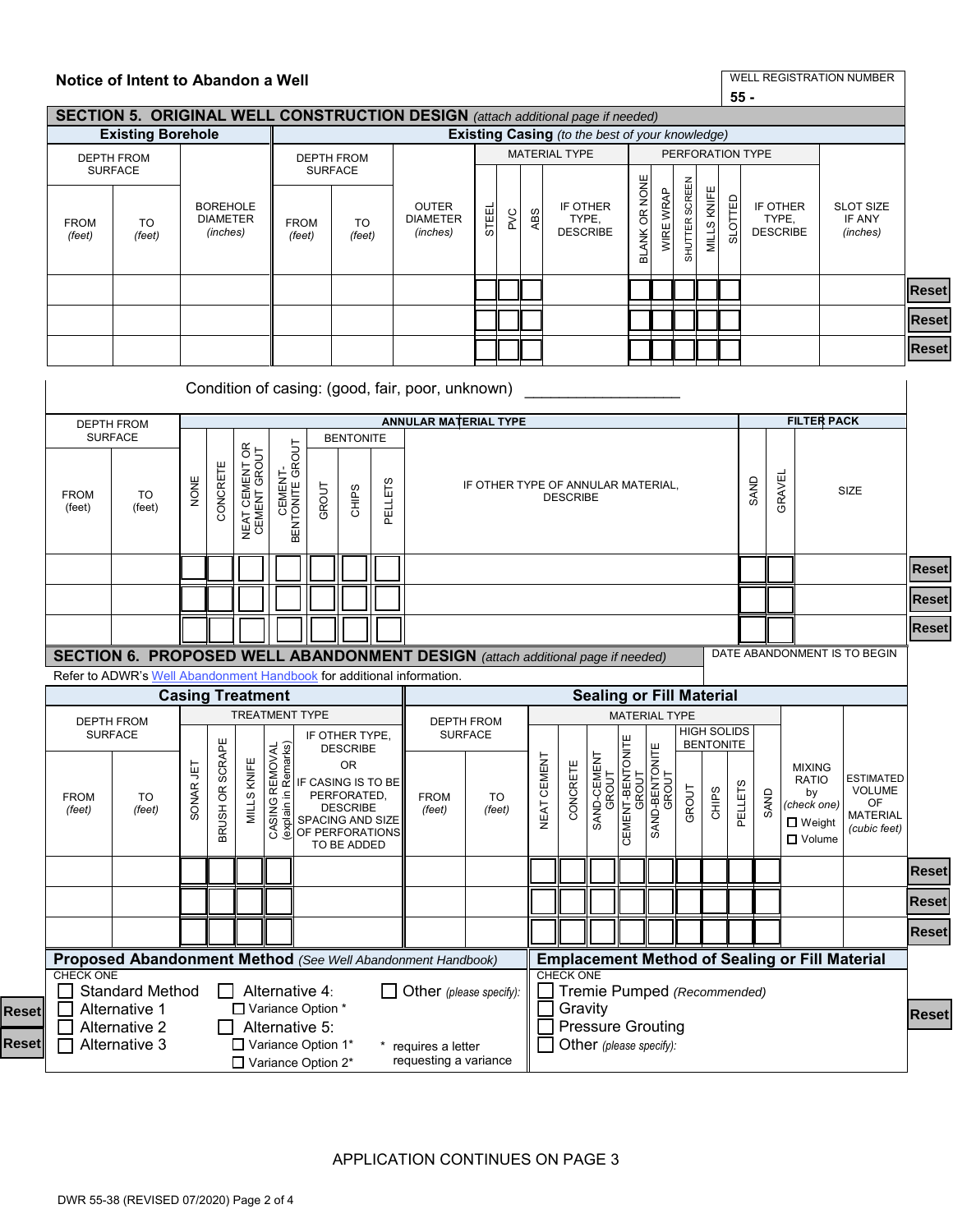|                                     |                                                                                       |           |                                                |                                                                                      |                                       | <b>SECTION 5. ORIGINAL WELL CONSTRUCTION DESIGN</b> (attach additional page if needed) |                                                                                                                                          |         |                                                                                                    |                                                                                 |              |                                                                |                                      |                                 | $55 -$                    |                         |                |                |                  |              |                                      |                                                                                    |                                                                            |              |
|-------------------------------------|---------------------------------------------------------------------------------------|-----------|------------------------------------------------|--------------------------------------------------------------------------------------|---------------------------------------|----------------------------------------------------------------------------------------|------------------------------------------------------------------------------------------------------------------------------------------|---------|----------------------------------------------------------------------------------------------------|---------------------------------------------------------------------------------|--------------|----------------------------------------------------------------|--------------------------------------|---------------------------------|---------------------------|-------------------------|----------------|----------------|------------------|--------------|--------------------------------------|------------------------------------------------------------------------------------|----------------------------------------------------------------------------|--------------|
|                                     | <b>Existing Borehole</b>                                                              |           |                                                |                                                                                      |                                       |                                                                                        |                                                                                                                                          |         |                                                                                                    |                                                                                 |              |                                                                |                                      |                                 |                           |                         |                |                |                  |              |                                      |                                                                                    |                                                                            |              |
|                                     | <b>DEPTH FROM</b>                                                                     |           |                                                |                                                                                      |                                       |                                                                                        | <b>DEPTH FROM</b>                                                                                                                        |         | <b>Existing Casing</b> (to the best of your knowledge)<br><b>MATERIAL TYPE</b><br>PERFORATION TYPE |                                                                                 |              |                                                                |                                      |                                 |                           |                         |                |                |                  |              |                                      |                                                                                    |                                                                            |              |
| <b>FROM</b><br>(feet)               | <b>SURFACE</b><br><b>TO</b><br>(feet)                                                 |           | <b>BOREHOLE</b><br><b>DIAMETER</b><br>(inches) |                                                                                      | <b>FROM</b><br>(feet)                 | <b>SURFACE</b>                                                                         | <b>TO</b><br>(feet)                                                                                                                      |         | <b>OUTER</b><br><b>DIAMETER</b><br>(inches)                                                        | <b>STEEI</b>                                                                    | PVC          | ABS                                                            | IF OTHER<br>TYPE,<br><b>DESCRIBE</b> |                                 | BLANK OR NONE             | WIRE WRAP               | SHUTTER SCREEN | KNIFE<br>MILLS | SLOTTED          |              | IF OTHER<br>TYPE,<br><b>DESCRIBE</b> |                                                                                    | <b>SLOT SIZE</b><br>IF ANY<br>(inches)                                     |              |
|                                     |                                                                                       |           |                                                |                                                                                      |                                       |                                                                                        |                                                                                                                                          |         |                                                                                                    |                                                                                 |              |                                                                |                                      |                                 |                           |                         |                |                |                  |              |                                      |                                                                                    |                                                                            | <b>Reset</b> |
|                                     |                                                                                       |           |                                                |                                                                                      |                                       |                                                                                        |                                                                                                                                          |         |                                                                                                    |                                                                                 |              |                                                                |                                      |                                 |                           |                         |                |                |                  |              |                                      |                                                                                    |                                                                            | <b>Reset</b> |
|                                     |                                                                                       |           |                                                |                                                                                      |                                       |                                                                                        |                                                                                                                                          |         |                                                                                                    |                                                                                 |              |                                                                |                                      |                                 |                           |                         |                |                |                  |              |                                      |                                                                                    |                                                                            |              |
|                                     |                                                                                       |           |                                                |                                                                                      |                                       |                                                                                        |                                                                                                                                          |         |                                                                                                    |                                                                                 |              |                                                                |                                      |                                 |                           |                         |                |                |                  |              |                                      |                                                                                    |                                                                            | <b>Reset</b> |
|                                     |                                                                                       |           |                                                |                                                                                      |                                       |                                                                                        |                                                                                                                                          |         | Condition of casing: (good, fair, poor, unknown)                                                   |                                                                                 |              |                                                                |                                      |                                 |                           |                         |                |                |                  |              |                                      |                                                                                    |                                                                            |              |
|                                     | <b>DEPTH FROM</b>                                                                     |           |                                                |                                                                                      |                                       |                                                                                        |                                                                                                                                          |         | <b>ANNULAR MATERIAL TYPE</b>                                                                       |                                                                                 |              |                                                                |                                      |                                 |                           |                         |                |                |                  |              |                                      | <b>FILTER PACK</b>                                                                 |                                                                            |              |
|                                     | <b>SURFACE</b>                                                                        |           |                                                |                                                                                      |                                       |                                                                                        | <b>BENTONITE</b>                                                                                                                         |         |                                                                                                    |                                                                                 |              |                                                                |                                      |                                 |                           |                         |                |                |                  |              |                                      |                                                                                    |                                                                            |              |
| <b>FROM</b><br>(feet)               | TO<br>(feet)                                                                          | NONE      | CONCRETE                                       | NEAT CEMENT OR<br>CEMENT GROUT                                                       | CEMENT-<br>BENTONITE GROUT            | GROUT                                                                                  | CHIPS                                                                                                                                    | PELLETS |                                                                                                    | GRAVEL<br>SAND<br>IF OTHER TYPE OF ANNULAR MATERIAL,<br>SIZE<br><b>DESCRIBE</b> |              |                                                                |                                      |                                 |                           |                         |                |                |                  |              |                                      |                                                                                    |                                                                            |              |
|                                     |                                                                                       |           |                                                |                                                                                      |                                       |                                                                                        |                                                                                                                                          |         |                                                                                                    |                                                                                 |              |                                                                |                                      |                                 |                           |                         |                |                |                  |              | <b>Reset</b>                         |                                                                                    |                                                                            |              |
|                                     |                                                                                       |           |                                                |                                                                                      |                                       |                                                                                        |                                                                                                                                          |         |                                                                                                    |                                                                                 |              |                                                                |                                      |                                 |                           |                         |                |                |                  |              |                                      |                                                                                    |                                                                            | Reset        |
|                                     |                                                                                       |           |                                                |                                                                                      |                                       |                                                                                        |                                                                                                                                          |         |                                                                                                    |                                                                                 |              |                                                                |                                      |                                 |                           |                         |                |                |                  |              |                                      |                                                                                    |                                                                            |              |
|                                     | <b>SECTION 6. PROPOSED WELL ABANDONMENT DESIGN</b> (attach additional page if needed) |           |                                                |                                                                                      |                                       |                                                                                        |                                                                                                                                          |         |                                                                                                    |                                                                                 |              |                                                                |                                      |                                 |                           |                         |                |                |                  |              |                                      |                                                                                    | DATE ABANDONMENT IS TO BEGIN                                               |              |
|                                     | Refer to ADWR's Well Abandonment Handbook for additional information.                 |           |                                                |                                                                                      |                                       |                                                                                        |                                                                                                                                          |         |                                                                                                    |                                                                                 |              |                                                                |                                      |                                 |                           |                         |                |                |                  |              |                                      |                                                                                    |                                                                            |              |
|                                     |                                                                                       |           |                                                | <b>Casing Treatment</b>                                                              |                                       |                                                                                        |                                                                                                                                          |         |                                                                                                    |                                                                                 |              |                                                                |                                      | <b>Sealing or Fill Material</b> |                           |                         |                |                |                  |              |                                      |                                                                                    |                                                                            |              |
| <b>DEPTH FROM</b><br><b>SURFACE</b> |                                                                                       |           |                                                |                                                                                      | <b>TREATMENT TYPE</b>                 |                                                                                        |                                                                                                                                          |         | <b>DEPTH FROM</b><br><b>SURFACE</b>                                                                | <b>MATERIAL TYPE</b><br><b>HIGH SOLIDS</b>                                      |              |                                                                |                                      |                                 |                           |                         |                |                |                  |              |                                      |                                                                                    |                                                                            |              |
|                                     |                                                                                       |           |                                                |                                                                                      |                                       |                                                                                        | IF OTHER TYPE.<br><b>DESCRIBE</b>                                                                                                        |         |                                                                                                    |                                                                                 |              |                                                                |                                      |                                 |                           |                         |                |                | <b>BENTONITE</b> |              |                                      |                                                                                    |                                                                            |              |
| <b>FROM</b><br>(feet)               | TO<br>(feet)                                                                          | SONAR JET | BRUSH OR SCRAPE                                | <b>MILLS KNIFE</b>                                                                   | REMOVAL<br>in Remarks)<br>≘<br>CASING |                                                                                        | <b>OR</b><br>IF CASING IS TO BE<br>PERFORATED,<br>E DESCRIBE<br>B SPACING AND SIZE<br>SPACING AND SIZE<br>OF PERFORATIONS<br>TO BE ADDED |         | <b>FROM</b><br>(feet)                                                                              |                                                                                 | TO<br>(feet) | $\vdash$<br>NEAT CEMEN                                         | CONCRETE                             | SAND-CEMENT<br>GROUT            | CEMENT-BENTONITE<br>GROUT | SAND-BENTONITE<br>GROUT | GROUT          | CHIPS          | <b>PELLETS</b>   | <b>GAND</b>  |                                      | <b>MIXING</b><br><b>RATIO</b><br>by<br>(check one)<br>$\square$ Weight<br>□ Volume | <b>ESTIMATED</b><br><b>VOLUME</b><br>OF<br><b>MATERIAL</b><br>(cubic feet) |              |
|                                     |                                                                                       |           |                                                |                                                                                      |                                       |                                                                                        |                                                                                                                                          |         |                                                                                                    |                                                                                 |              |                                                                |                                      |                                 |                           |                         |                |                |                  |              |                                      |                                                                                    |                                                                            | <b>Reset</b> |
|                                     |                                                                                       |           |                                                |                                                                                      |                                       |                                                                                        |                                                                                                                                          |         |                                                                                                    |                                                                                 |              |                                                                |                                      |                                 |                           |                         |                |                |                  |              |                                      |                                                                                    |                                                                            | <b>Reset</b> |
|                                     |                                                                                       |           |                                                |                                                                                      |                                       |                                                                                        |                                                                                                                                          |         |                                                                                                    |                                                                                 |              |                                                                |                                      |                                 |                           |                         |                |                |                  | <b>Reset</b> |                                      |                                                                                    |                                                                            |              |
|                                     | Proposed Abandonment Method (See Well Abandonment Handbook)                           |           |                                                |                                                                                      |                                       |                                                                                        |                                                                                                                                          |         |                                                                                                    |                                                                                 |              |                                                                |                                      |                                 |                           |                         |                |                |                  |              |                                      | <b>Emplacement Method of Sealing or Fill Material</b>                              |                                                                            |              |
| <b>CHECK ONE</b>                    | <b>Standard Method</b>                                                                |           |                                                |                                                                                      | Alternative 4:                        |                                                                                        |                                                                                                                                          |         | Other (please specify):                                                                            |                                                                                 |              |                                                                | <b>CHECK ONE</b>                     | Tremie Pumped (Recommended)     |                           |                         |                |                |                  |              |                                      |                                                                                    |                                                                            |              |
|                                     | Alternative 1<br>Alternative 2                                                        |           |                                                | □ Variance Option *<br>Alternative 5:<br>□ Variance Option 1*<br>* requires a letter |                                       |                                                                                        |                                                                                                                                          |         |                                                                                                    |                                                                                 |              | Gravity<br><b>Pressure Grouting</b><br>Other (please specify): |                                      |                                 |                           |                         |                |                |                  |              |                                      | <b>Reset</b>                                                                       |                                                                            |              |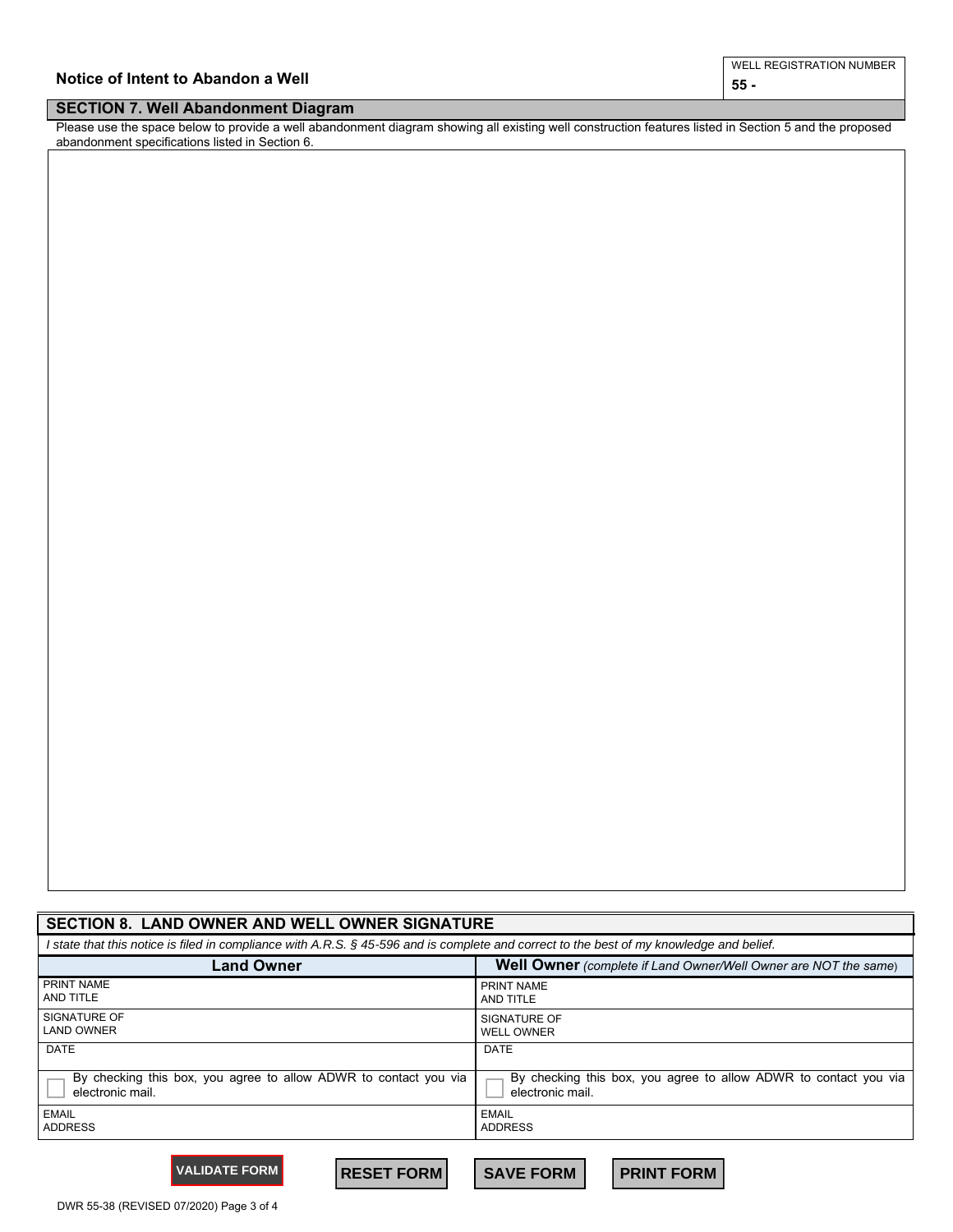| Notice of Intent to Abandon a Well | L REGISTRATION NUMBER<br>WEL |
|------------------------------------|------------------------------|
|                                    | 55                           |
| ___<br>_________                   |                              |

## **SECTION 7. Well Abandonment Diagram**

Please use the space below to provide a well abandonment diagram showing all existing well construction features listed in Section 5 and the proposed abandonment specifications listed in Section 6.

| <b>SECTION 8. LAND OWNER AND WELL OWNER SIGNATURE</b>                                                                                    |                                                                        |  |  |  |  |  |  |  |
|------------------------------------------------------------------------------------------------------------------------------------------|------------------------------------------------------------------------|--|--|--|--|--|--|--|
| I state that this notice is filed in compliance with A.R.S. § 45-596 and is complete and correct to the best of my knowledge and belief. |                                                                        |  |  |  |  |  |  |  |
| <b>Land Owner</b>                                                                                                                        | <b>Well Owner</b> (complete if Land Owner/Well Owner are NOT the same) |  |  |  |  |  |  |  |
| PRINT NAME                                                                                                                               | PRINT NAME                                                             |  |  |  |  |  |  |  |
| AND TITLE                                                                                                                                | AND TITLE                                                              |  |  |  |  |  |  |  |
| SIGNATURE OF                                                                                                                             | SIGNATURE OF                                                           |  |  |  |  |  |  |  |
| <b>LAND OWNER</b>                                                                                                                        | <b>WELL OWNER</b>                                                      |  |  |  |  |  |  |  |
| <b>DATE</b>                                                                                                                              | <b>DATE</b>                                                            |  |  |  |  |  |  |  |
| By checking this box, you agree to allow ADWR to contact you via                                                                         | By checking this box, you agree to allow ADWR to contact you via       |  |  |  |  |  |  |  |
| electronic mail.                                                                                                                         | electronic mail.                                                       |  |  |  |  |  |  |  |
| <b>EMAIL</b>                                                                                                                             | <b>EMAIL</b>                                                           |  |  |  |  |  |  |  |
| <b>ADDRESS</b>                                                                                                                           | <b>ADDRESS</b>                                                         |  |  |  |  |  |  |  |

**VALIDATE FORM RESET FORM SAVE FORM PRINT FORM**